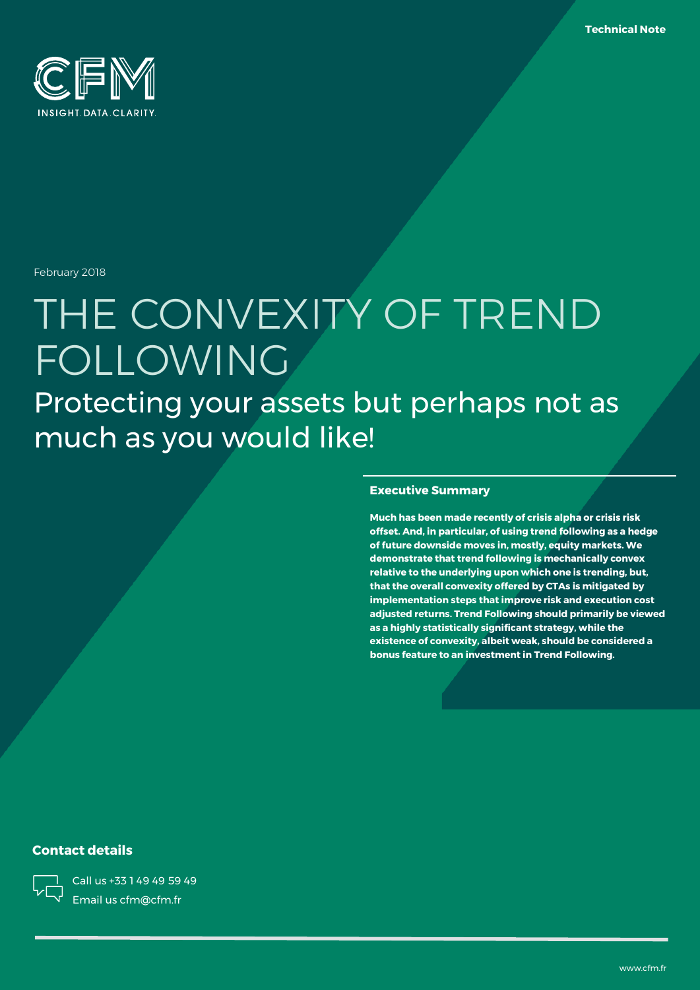

February 2018

# THE CONVEXITY OF TREND FOLLOWING Protecting your assets but perhaps not as much as you would like!

#### **Executive Summary**

**Much has been made recently of crisis alpha or crisis risk offset. And, in particular, of using trend following as a hedge of future downside moves in, mostly, equity markets. We demonstrate that trend following is mechanically convex relative to the underlying upon which one is trending, but, that the overall convexity offered by CTAs is mitigated by implementation steps that improve risk and execution cost adjusted returns. Trend Following should primarily be viewed as a highly statistically significant strategy, while the existence of convexity, albeit weak, should be considered a bonus feature to an investment in Trend Following.**

### **Contact details**



Call us +33 1 49 49 59 49 Email us cfm@cfm.fr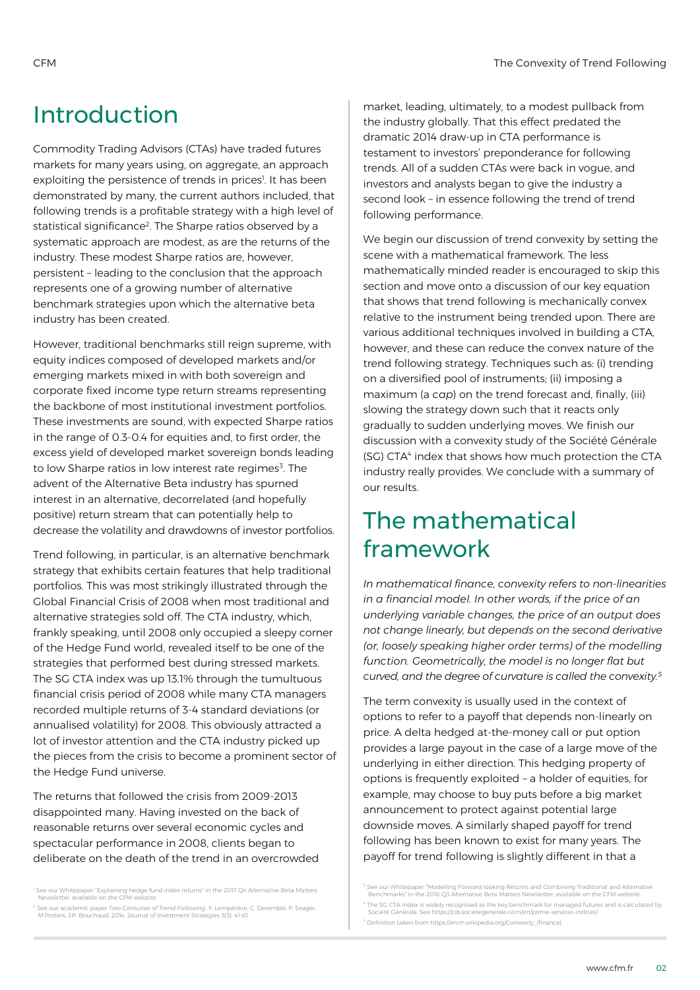### Introduction

Commodity Trading Advisors (CTAs) have traded futures markets for many years using, on aggregate, an approach exploiting the persistence of trends in prices<sup>1</sup>. It has been demonstrated by many, the current authors included, that following trends is a profitable strategy with a high level of statistical significance<sup>2</sup>. The Sharpe ratios observed by a systematic approach are modest, as are the returns of the industry. These modest Sharpe ratios are, however, persistent – leading to the conclusion that the approach represents one of a growing number of alternative benchmark strategies upon which the alternative beta industry has been created.

However, traditional benchmarks still reign supreme, with equity indices composed of developed markets and/or emerging markets mixed in with both sovereign and corporate fixed income type return streams representing the backbone of most institutional investment portfolios. These investments are sound, with expected Sharpe ratios in the range of 0.3-0.4 for equities and, to first order, the excess yield of developed market sovereign bonds leading to low Sharpe ratios in low interest rate regimes<sup>3</sup>. The advent of the Alternative Beta industry has spurned interest in an alternative, decorrelated (and hopefully positive) return stream that can potentially help to decrease the volatility and drawdowns of investor portfolios.

Trend following, in particular, is an alternative benchmark strategy that exhibits certain features that help traditional portfolios. This was most strikingly illustrated through the Global Financial Crisis of 2008 when most traditional and alternative strategies sold off. The CTA industry, which, frankly speaking, until 2008 only occupied a sleepy corner of the Hedge Fund world, revealed itself to be one of the strategies that performed best during stressed markets. The SG CTA index was up 13.1% through the tumultuous financial crisis period of 2008 while many CTA managers recorded multiple returns of 3-4 standard deviations (or annualised volatility) for 2008. This obviously attracted a lot of investor attention and the CTA industry picked up the pieces from the crisis to become a prominent sector of the Hedge Fund universe.

The returns that followed the crisis from 2009-2013 disappointed many. Having invested on the back of reasonable returns over several economic cycles and spectacular performance in 2008, clients began to deliberate on the death of the trend in an overcrowded

<sup>1</sup> See our Whitepaper "Explaining hedge fund index returns" in the 2017 Q4 Alternative Beta Matters Newsletter, available on the CFM website.

<sup>2</sup> See our academic paper *Two Centuries of Trend Following*. Y. Lempérière, C. Deremble, P. Seager, M.Potters, J.P. Bouchaud. 2014, Journal of Investment Strategies 3(3), 41-61.

market, leading, ultimately, to a modest pullback from the industry globally. That this effect predated the dramatic 2014 draw-up in CTA performance is testament to investors' preponderance for following trends. All of a sudden CTAs were back in vogue, and investors and analysts began to give the industry a second look – in essence following the trend of trend following performance.

We begin our discussion of trend convexity by setting the scene with a mathematical framework. The less mathematically minded reader is encouraged to skip this section and move onto a discussion of our key equation that shows that trend following is mechanically convex relative to the instrument being trended upon. There are various additional techniques involved in building a CTA, however, and these can reduce the convex nature of the trend following strategy. Techniques such as: (i) trending on a diversified pool of instruments; (ii) imposing a maximum (a *cap*) on the trend forecast and, finally, (iii) slowing the strategy down such that it reacts only gradually to sudden underlying moves. We finish our discussion with a convexity study of the Société Générale (SG) CTA<sup>4</sup> index that shows how much protection the CTA industry really provides. We conclude with a summary of our results.

# The mathematical framework

*In mathematical finance, convexity refers to non-linearities in a financial model. In other words, if the price of an underlying variable changes, the price of an output does not change linearly, but depends on the second derivative (or, loosely speaking higher order terms) of the modelling function. Geometrically, the model is no longer flat but curved, and the degree of curvature is called the convexity.<sup>5</sup>*

The term convexity is usually used in the context of options to refer to a payoff that depends non-linearly on price. A delta hedged at-the-money call or put option provides a large payout in the case of a large move of the underlying in either direction. This hedging property of options is frequently exploited – a holder of equities, for example, may choose to buy puts before a big market announcement to protect against potential large downside moves. A similarly shaped payoff for trend following has been known to exist for many years. The payoff for trend following is slightly different in that a

<sup>3</sup> See our Whitepaper "Modelling Forward looking Returns and Combining Traditional and Alternative Benchmarks" in the 2016 Q3 Alternative Beta Matters Newsletter, available on the CFM website. <sup>4</sup> The SG CTA Index is widely recognised as the key benchmark for managed futures and is calculated by Société Générale. See https://cib.societegenerale.com/en/prime-services-indices/ <sup>5</sup> Definition taken from https://en.m.wikipedia.org/Convexity\_(finance)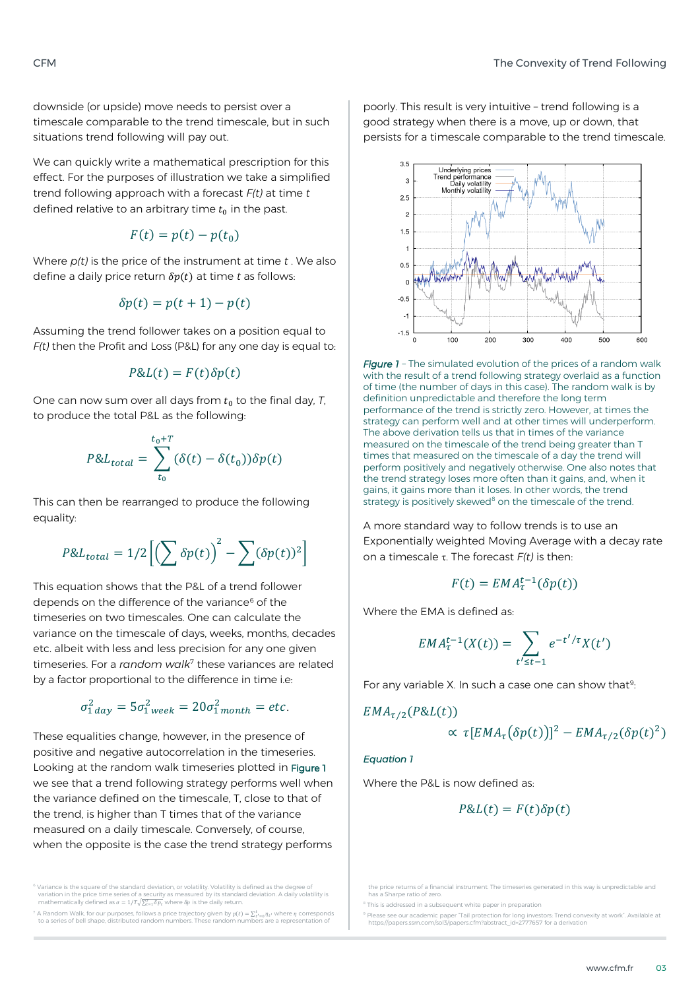downside (or upside) move needs to persist over a timescale comparable to the trend timescale, but in such situations trend following will pay out.

We can quickly write a mathematical prescription for this effect. For the purposes of illustration we take a simplified trend following approach with a forecast *F(t)* at time *t* defined relative to an arbitrary time  $t_0$  in the past.

$$
F(t) = p(t) - p(t_0)
$$

Where *p(t)* is the price of the instrument at time *t* . We also define a daily price return  $\delta p(t)$  at time *t* as follows:

$$
\delta p(t) = p(t+1) - p(t)
$$

Assuming the trend follower takes on a position equal to *F(t)* then the Profit and Loss (P&L) for any one day is equal to:

$$
P&L(t) = F(t)\delta p(t)
$$

One can now sum over all days from  $t_0$  to the final day, *T*, to produce the total P&L as the following:

$$
P&L_{total} = \sum_{t_0}^{t_0+T} (\delta(t) - \delta(t_0)) \delta p(t)
$$

This can then be rearranged to produce the following equality:

$$
P&L_{total} = 1/2 \left[ \left( \sum \delta p(t) \right)^2 - \sum (\delta p(t))^2 \right]
$$

This equation shows that the P&L of a trend follower depends on the difference of the variance<sup>6</sup> of the timeseries on two timescales. One can calculate the variance on the timescale of days, weeks, months, decades etc. albeit with less and less precision for any one given timeseries. For a *random walk*<sup>7</sup> these variances are related by a factor proportional to the difference in time i.e:

$$
\sigma_{1\,day}^2 = 5\sigma_{1\,week}^2 = 20\sigma_{1\,month}^2 = etc.
$$

These equalities change, however, in the presence of positive and negative autocorrelation in the timeseries. Looking at the random walk timeseries plotted in Figure 1 we see that a trend following strategy performs well when the variance defined on the timescale, T, close to that of the trend, is higher than T times that of the variance measured on a daily timescale. Conversely, of course, when the opposite is the case the trend strategy performs

<sup>7</sup> A Random Walk, for our purposes, follows a price trajectory given by  $p(t) = \sum_{t'=0}^{t} \eta_{t'}$  where  $\eta$  corresponds<br>to a series of bell shape, distributed random numbers. These random numbers are a representation of

poorly. This result is very intuitive – trend following is a good strategy when there is a move, up or down, that persists for a timescale comparable to the trend timescale.



*Figure 1 –* The simulated evolution of the prices of a random walk with the result of a trend following strategy overlaid as a function of time (the number of days in this case). The random walk is by definition unpredictable and therefore the long term performance of the trend is strictly zero. However, at times the strategy can perform well and at other times will underperform. The above derivation tells us that in times of the variance measured on the timescale of the trend being greater than T times that measured on the timescale of a day the trend will perform positively and negatively otherwise. One also notes that the trend strategy loses more often than it gains, and, when it gains, it gains more than it loses. In other words, the trend strategy is positively skewed $8$  on the timescale of the trend.

A more standard way to follow trends is to use an Exponentially weighted Moving Average with a decay rate on a timescale  $\tau$ . The forecast  $F(t)$  is then:

$$
F(t) = EMA_{\tau}^{t-1}(\delta p(t))
$$

Where the EMA is defined as:

$$
EMA_{\tau}^{t-1}(X(t)) = \sum_{t' \leq t-1} e^{-t'/\tau} X(t')
$$

For any variable X. In such a case one can show that<sup>9</sup>: :

$$
EMA_{\tau/2}(P\&L(t))
$$

$$
\propto \tau [EMA_{\tau}(\delta p(t))]^2 - EMA_{\tau/2}(\delta p(t)^2)
$$

#### <span id="page-2-0"></span>*Equation 1*

Where the P&L is now defined as:

$$
P&L(t) = F(t)\delta p(t)
$$

<sup>&</sup>lt;sup>6</sup> Variance is the square of the standard deviation, or volatility. Volatility is defined as the degree of<br>variation in the price time series of a security as measured by its standard deviation. A daily volatility is mathematically defined as  $\sigma = 1/T \sqrt{\sum_{t=1}^{T} \delta p_t}$  where  $\delta p$  is the daily return.

the price returns of a financial instrument. The timeseries generated in this way is unpredictable and has a Sharpe ratio of zero.

 $8$  This is addressed in a subsequent white paper in preparation

<sup>9</sup> Please see our academic paper "Tail protection for long investors: Trend convexity at work". Available at https://papers.ssrn.com/sol3/papers.cfm?abstract\_id=2777657 for a derivation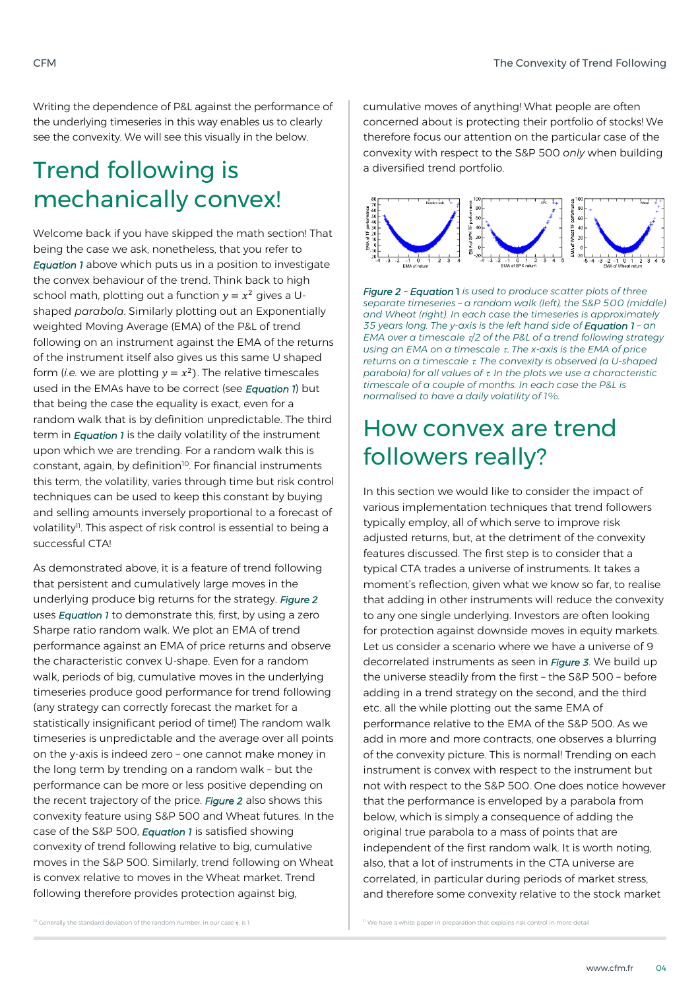Writing the dependence of P&L against the performance of the underlying timeseries in this way enables us to clearly see the convexity. We will see this visually in the below.

### Trend following is mechanically convex!

Welcome back if you have skipped the math section! That being the case we ask, nonetheless, that you refer to *Equation 1* above which puts us in a position to investigate the convex behaviour of the trend. Think back to high school math, plotting out a function  $y = x^2$  gives a Ushaped *parabola*. Similarly plotting out an Exponentially weighted Moving Average (EMA) of the P&L of trend following on an instrument against the EMA of the returns of the instrument itself also gives us this same U shaped form (*i.e.* we are plotting  $y = x^2$ ). The relative timescales used in the EMAs have to be correct (see *Equation 1*) but that being the case the equality is exact, even for a random walk that is by definition unpredictable. The third term in *Equation 1* is the daily volatility of the instrument upon which we are trending. For a random walk this is constant, again, by definition<sup>10</sup>. For financial instruments this term, the volatility, varies through time but risk control techniques can be used to keep this constant by buying and selling amounts inversely proportional to a forecast of volatility<sup>11</sup>. This aspect of risk control is essential to being a successful CTA!

As demonstrated above, it is a feature of trend following that persistent and cumulatively large moves in the underlying produce big returns for the strategy. *Figure 2* uses *Equation 1* to demonstrate this, first, by using a zero Sharpe ratio random walk. We plot an EMA of trend performance against an EMA of price returns and observe the characteristic convex U-shape. Even for a random walk, periods of big, cumulative moves in the underlying timeseries produce good performance for trend following (any strategy can correctly forecast the market for a statistically insignificant period of time!) The random walk timeseries is unpredictable and the average over all points on the y-axis is indeed zero – one cannot make money in the long term by trending on a random walk – but the performance can be more or less positive depending on the recent trajectory of the price. *Figure 2* also shows this convexity feature using S&P 500 and Wheat futures. In the case of the S&P 500, *Equation 1* is satisfied showing convexity of trend following relative to big, cumulative moves in the S&P 500. Similarly, trend following on Wheat is convex relative to moves in the Wheat market. Trend following therefore provides protection against big,

cumulative moves of anything! What people are often concerned about is protecting their portfolio of stocks! We therefore focus our attention on the particular case of the convexity with respect to the S&P 500 *only* when building a diversified trend portfolio.



*Figure 2 – Equation* 1 *is used to produce scatter plots of three separate timeseries – a random walk (left), the S&P 500 (middle) and Wheat (right). In each case the timeseries is approximately 35 years long. The y-axis is the left hand side of Equation 1 – an EMA over a timescale /2 of the P&L of a trend following strategy using an EMA on a timescale The x-axis is the EMA of price returns on a timescale . The convexity is observed (a U-shaped parabola) for all values of . In the plots we use a characteristic timescale of a couple of months. In each case the P&L is normalised to have a daily volatility of 1%.*

# How convex are trend followers really?

In this section we would like to consider the impact of various implementation techniques that trend followers typically employ, all of which serve to improve risk adjusted returns, but, at the detriment of the convexity features discussed. The first step is to consider that a typical CTA trades a universe of instruments. It takes a moment's reflection, given what we know so far, to realise that adding in other instruments will reduce the convexity to any one single underlying. Investors are often looking for protection against downside moves in equity markets. Let us consider a scenario where we have a universe of 9 decorrelated instruments as seen in *Figure 3*. We build up the universe steadily from the first – the S&P 500 – before adding in a trend strategy on the second, and the third etc. all the while plotting out the same EMA of performance relative to the EMA of the S&P 500. As we add in more and more contracts, one observes a blurring of the convexity picture. This is normal! Trending on each instrument is convex with respect to the instrument but not with respect to the S&P 500. One does notice however that the performance is enveloped by a parabola from below, which is simply a consequence of adding the original true parabola to a mass of points that are independent of the first random walk. It is worth noting, also, that a lot of instruments in the CTA universe are correlated, in particular during periods of market stress, and therefore some convexity relative to the stock market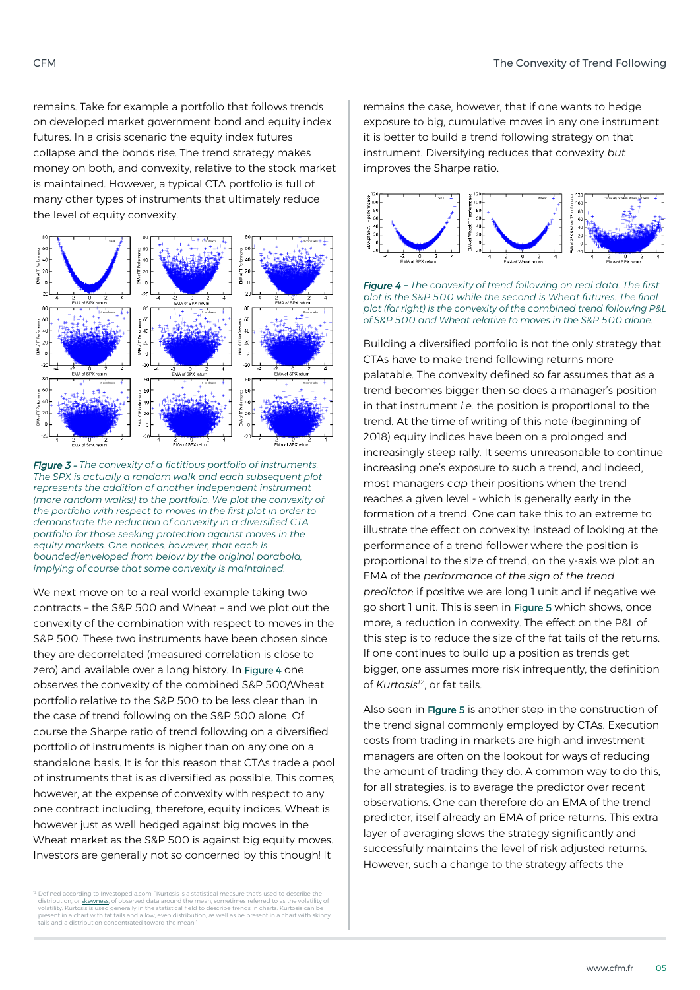remains. Take for example a portfolio that follows trends on developed market government bond and equity index futures. In a crisis scenario the equity index futures collapse and the bonds rise. The trend strategy makes money on both, and convexity, relative to the stock market is maintained. However, a typical CTA portfolio is full of many other types of instruments that ultimately reduce the level of equity convexity.



*Figure 3* – *The convexity of a fictitious portfolio of instruments. The SPX is actually a random walk and each subsequent plot represents the addition of another independent instrument (more random walks!) to the portfolio. We plot the convexity of the portfolio with respect to moves in the first plot in order to demonstrate the reduction of convexity in a diversified CTA portfolio for those seeking protection against moves in the equity markets. One notices, however, that each is bounded/enveloped from below by the original parabola, implying of course that some convexity is maintained.*

We next move on to a real world example taking two contracts – the S&P 500 and Wheat – and we plot out the convexity of the combination with respect to moves in the S&P 500. These two instruments have been chosen since they are decorrelated (measured correlation is close to zero) and available over a long history. In Figure 4 one observes the convexity of the combined S&P 500/Wheat portfolio relative to the S&P 500 to be less clear than in the case of trend following on the S&P 500 alone. Of course the Sharpe ratio of trend following on a diversified portfolio of instruments is higher than on any one on a standalone basis. It is for this reason that CTAs trade a pool of instruments that is as diversified as possible. This comes, however, at the expense of convexity with respect to any one contract including, therefore, equity indices. Wheat is however just as well hedged against big moves in the Wheat market as the S&P 500 is against big equity moves. Investors are generally not so concerned by this though! It

remains the case, however, that if one wants to hedge exposure to big, cumulative moves in any one instrument it is better to build a trend following strategy on that instrument. Diversifying reduces that convexity *but* improves the Sharpe ratio.



*Figure 4 – The convexity of trend following on real data. The first plot is the S&P 500 while the second is Wheat futures. The final plot (far right) is the convexity of the combined trend following P&L of S&P 500 and Wheat relative to moves in the S&P 500 alone.*

Building a diversified portfolio is not the only strategy that CTAs have to make trend following returns more palatable. The convexity defined so far assumes that as a trend becomes bigger then so does a manager's position in that instrument *i.e.* the position is proportional to the trend. At the time of writing of this note (beginning of 2018) equity indices have been on a prolonged and increasingly steep rally. It seems unreasonable to continue increasing one's exposure to such a trend, and indeed, most managers *cap* their positions when the trend reaches a given level - which is generally early in the formation of a trend. One can take this to an extreme to illustrate the effect on convexity: instead of looking at the performance of a trend follower where the position is proportional to the size of trend, on the y-axis we plot an EMA of the *performance of the sign of the trend predictor*: if positive we are long 1 unit and if negative we go short 1 unit. This is seen in Figure 5 which shows, once more, a reduction in convexity. The effect on the P&L of this step is to reduce the size of the fat tails of the returns. If one continues to build up a position as trends get bigger, one assumes more risk infrequently, the definition of *Kurtosis<sup>12</sup>*, or fat tails.

Also seen in Figure 5 is another step in the construction of the trend signal commonly employed by CTAs. Execution costs from trading in markets are high and investment managers are often on the lookout for ways of reducing the amount of trading they do. A common way to do this, for all strategies, is to average the predictor over recent observations. One can therefore do an EMA of the trend predictor, itself already an EMA of price returns. This extra layer of averaging slows the strategy significantly and successfully maintains the level of risk adjusted returns. However, such a change to the strategy affects the

<sup>&</sup>lt;sup>12</sup> Defined according to Investopedia.com: "Kurtosis is a statistical measure that's used to describe the distribution, or <u>skewness</u>, of observed data around the mean, sometimes referred to as the volatility of<br>volatility. Kurtosis is used generally in the statistical field to describe trends in charts. Kurtosis can be present in a chart with fat tails and a low, even distribution, as well as be present in a chart with skinny tails and a distribution concentrated toward the mean."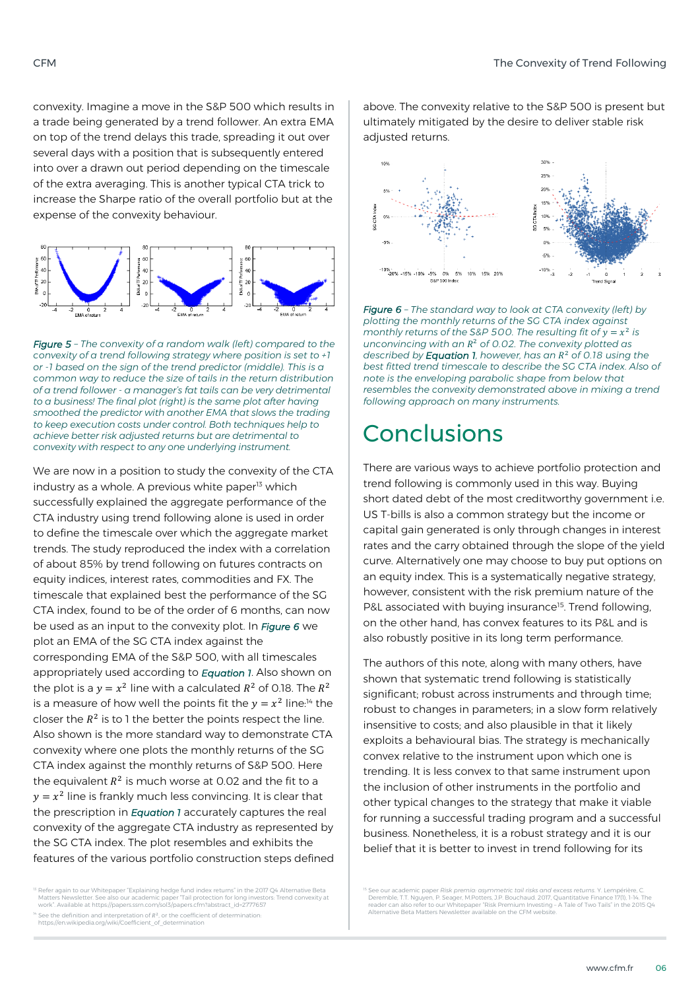convexity. Imagine a move in the S&P 500 which results in a trade being generated by a trend follower. An extra EMA on top of the trend delays this trade, spreading it out over several days with a position that is subsequently entered into over a drawn out period depending on the timescale of the extra averaging. This is another typical CTA trick to increase the Sharpe ratio of the overall portfolio but at the expense of the convexity behaviour.



*Figure 5 – The convexity of a random walk (left) compared to the convexity of a trend following strategy where position is set to +1 or -1 based on the sign of the trend predictor (middle). This is a common way to reduce the size of tails in the return distribution of a trend follower - a manager's fat tails can be very detrimental to a business! The final plot (right) is the same plot after having smoothed the predictor with another EMA that slows the trading to keep execution costs under control. Both techniques help to achieve better risk adjusted returns but are detrimental to convexity with respect to any one underlying instrument.*

We are now in a position to study the convexity of the CTA industry as a whole. A previous white paper<sup>13</sup> which successfully explained the aggregate performance of the CTA industry using trend following alone is used in order to define the timescale over which the aggregate market trends. The study reproduced the index with a correlation of about 85% by trend following on futures contracts on equity indices, interest rates, commodities and FX. The timescale that explained best the performance of the SG CTA index, found to be of the order of 6 months, can now be used as an input to the convexity plot. In *Figure 6* we plot an EMA of the SG CTA index against the corresponding EMA of the S&P 500, with all timescales appropriately used according to *Equation 1*. Also shown on the plot is a  $y = x^2$  line with a calculated  $R^2$  of 0.18. The  $R^2$ is a measure of how well the points fit the  $y = x^2$  line:<sup>14</sup> the closer the  $R^2$  is to 1 the better the points respect the line. Also shown is the more standard way to demonstrate CTA convexity where one plots the monthly returns of the SG CTA index against the monthly returns of S&P 500. Here the equivalent  $R^2$  is much worse at 0.02 and the fit to a  $y = x^2$  line is frankly much less convincing. It is clear that the prescription in *[Equation 1](#page-2-0)* accurately captures the real convexity of the aggregate CTA industry as represented by the SG CTA index. The plot resembles and exhibits the features of the various portfolio construction steps defined

<sup>13</sup> Refer again to our Whitepaper "Explaining hedge fund index returns" in the 2017 Q4 Alternative Beta<br>Matters Newsletter, See also our academic paper "Tail protection for long investors: Trend convexity at<br>work". Availa

 $14$  See the definition and interpretation of  $R^2$ , or the coefficient of determination: https://en.wikipedia.org/wiki/Coefficient\_of\_determination

above. The convexity relative to the S&P 500 is present but ultimately mitigated by the desire to deliver stable risk adjusted returns.



*Figure 6 – The standard way to look at CTA convexity (left) by plotting the monthly returns of the SG CTA index against*  monthly returns of the S&P 500. The resulting fit of  $y = x^2$  is *unconvincing with an*  <sup>2</sup> *of 0.02. The convexity plotted as described by Equation 1, however, has an*  <sup>2</sup> *of 0.18 using the best fitted trend timescale to describe the SG CTA index. Also of note is the enveloping parabolic shape from below that resembles the convexity demonstrated above in mixing a trend following approach on many instruments.*

### Conclusions

There are various ways to achieve portfolio protection and trend following is commonly used in this way. Buying short dated debt of the most creditworthy government i.e. US T-bills is also a common strategy but the income or capital gain generated is only through changes in interest rates and the carry obtained through the slope of the yield curve. Alternatively one may choose to buy put options on an equity index. This is a systematically negative strategy, however, consistent with the risk premium nature of the P&L associated with buying insurance<sup>15</sup>. Trend following, on the other hand, has convex features to its P&L and is also robustly positive in its long term performance.

The authors of this note, along with many others, have shown that systematic trend following is statistically significant; robust across instruments and through time; robust to changes in parameters; in a slow form relatively insensitive to costs; and also plausible in that it likely exploits a behavioural bias. The strategy is mechanically convex relative to the instrument upon which one is trending. It is less convex to that same instrument upon the inclusion of other instruments in the portfolio and other typical changes to the strategy that make it viable for running a successful trading program and a successful business. Nonetheless, it is a robust strategy and it is our belief that it is better to invest in trend following for its

<sup>15</sup> See our academic paper *Risk premio: αsymmetric tail risks and excess returns.* Y. Lempérière, C.<br>Deremble, T.T. Nguyen, P. Seager, M.Potters, J.P. Bouchaud. 2017, Quantitative Finance 17(1), 1-14. The<br>reader can also Alternative Beta Matters Newsletter available on the CFM website.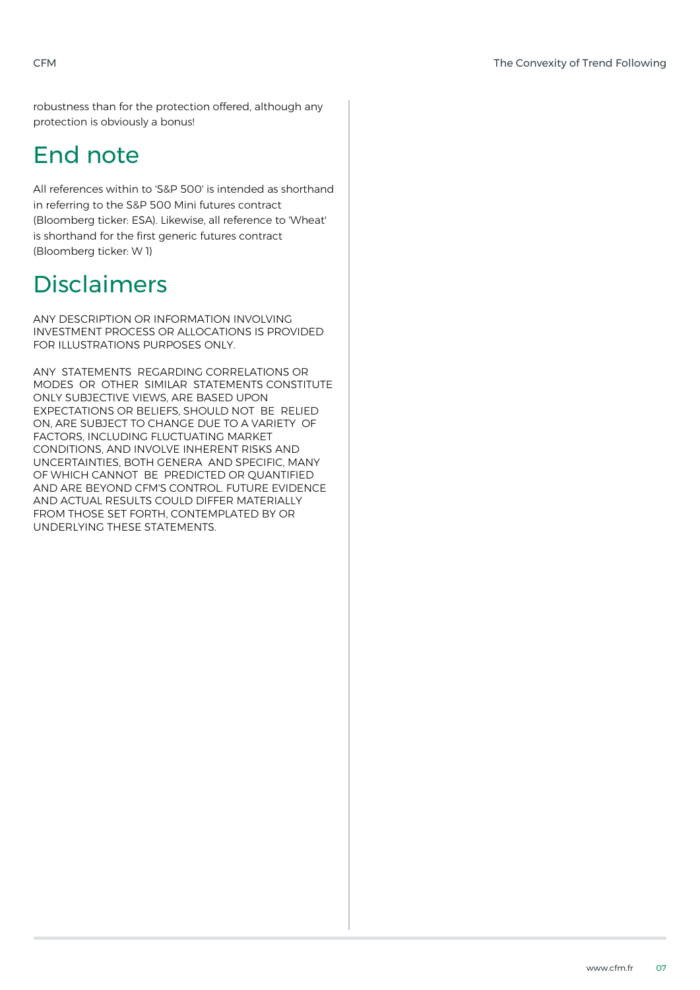robustness than for the protection offered, although any protection is obviously a bonus!

# End note

All references within to 'S&P 500' is intended as shorthand in referring to the S&P 500 Mini futures contract (Bloomberg ticker: ESA). Likewise, all reference to 'Wheat' is shorthand for the first generic futures contract (Bloomberg ticker: W 1)

# Disclaimers

ANY DESCRIPTION OR INFORMATION INVOLVING INVESTMENT PROCESS OR ALLOCATIONS IS PROVIDED FOR ILLUSTRATIONS PURPOSES ONLY.

ANY STATEMENTS REGARDING CORRELATIONS OR MODES OR OTHER SIMILAR STATEMENTS CONSTITUTE ONLY SUBJECTIVE VIEWS, ARE BASED UPON EXPECTATIONS OR BELIEFS, SHOULD NOT BE RELIED ON, ARE SUBJECT TO CHANGE DUE TO A VARIETY OF FACTORS, INCLUDING FLUCTUATING MARKET CONDITIONS, AND INVOLVE INHERENT RISKS AND UNCERTAINTIES, BOTH GENERA AND SPECIFIC, MANY OF WHICH CANNOT BE PREDICTED OR QUANTIFIED AND ARE BEYOND CFM'S CONTROL. FUTURE EVIDENCE AND ACTUAL RESULTS COULD DIFFER MATERIALLY FROM THOSE SET FORTH, CONTEMPLATED BY OR UNDERLYING THESE STATEMENTS.